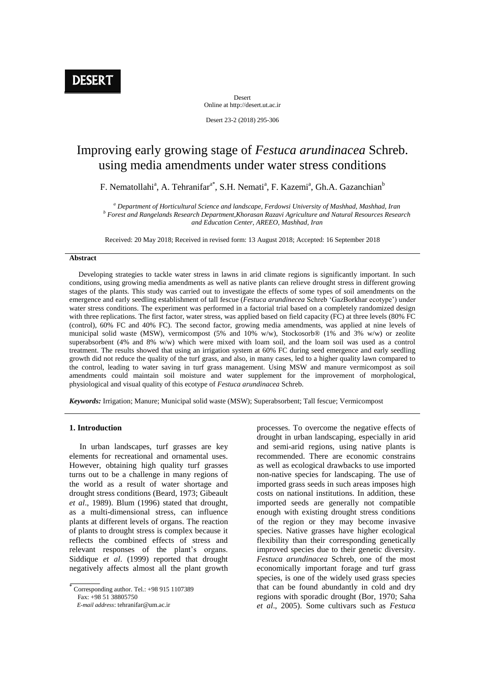Desert Online at http://desert.ut.ac.ir

Desert 23-2 (2018) 295-306

# Improving early growing stage of *Festuca arundinacea* Schreb. using media amendments under water stress conditions

F. Nematollahi<sup>a</sup>, A. Tehranifar<sup>a\*</sup>, S.H. Nemati<sup>a</sup>, F. Kazemi<sup>a</sup>, Gh.A. Gazanchian<sup>b</sup>

*<sup>a</sup> Department of Horticultural Science and landscape, Ferdowsi University of Mashhad, Mashhad, Iran b Forest and Rangelands Research Department,Khorasan Razavi Agriculture and Natural Resources Research and Education Center, AREEO, Mashhad, Iran*

Received: 20 May 2018; Received in revised form: 13 August 2018; Accepted: 16 September 2018

#### **Abstract**

 Developing strategies to tackle water stress in lawns in arid climate regions is significantly important. In such conditions, using growing media amendments as well as native plants can relieve drought stress in different growing stages of the plants. This study was carried out to investigate the effects of some types of soil amendments on the emergence and early seedling establishment of tall fescue (*Festuca arundinecea* Schreb 'GazBorkhar ecotype') under water stress conditions. The experiment was performed in a factorial trial based on a completely randomized design with three replications. The first factor, water stress, was applied based on field capacity (FC) at three levels (80% FC (control), 60% FC and 40% FC). The second factor, growing media amendments, was applied at nine levels of municipal solid waste (MSW), vermicompost (5% and 10% w/w), Stockosorb® (1% and 3% w/w) or zeolite superabsorbent (4% and 8% w/w) which were mixed with loam soil, and the loam soil was used as a control treatment. The results showed that using an irrigation system at 60% FC during seed emergence and early seedling growth did not reduce the quality of the turf grass, and also, in many cases, led to a higher quality lawn compared to the control, leading to water saving in turf grass management. Using MSW and manure vermicompost as soil amendments could maintain soil moisture and water supplement for the improvement of morphological, physiological and visual quality of this ecotype of *Festuca arundinacea* Schreb.

*Keywords:* Irrigation; Manure; Municipal solid waste (MSW); Superabsorbent; Tall fescue; Vermicompost

## **1. Introduction**

 In urban landscapes, turf grasses are key elements for recreational and ornamental uses. However, obtaining high quality turf grasses turns out to be a challenge in many regions of the world as a result of water shortage and drought stress conditions (Beard, 1973; Gibeault *et al*., 1989). Blum (1996) stated that drought, as a multi-dimensional stress, can influence plants at different levels of organs. The reaction of plants to drought stress is complex because it reflects the combined effects of stress and relevant responses of the plant's organs. Siddique *et al*. (1999) reported that drought negatively affects almost all the plant growth

ł Corresponding author. Tel.: +98 915 1107389 Fax: +98 51 38805750

 *E-mail address*: tehranifar@um.ac.ir

processes. To overcome the negative effects of drought in urban landscaping, especially in arid and semi-arid regions, using native plants is recommended. There are economic constrains as well as ecological drawbacks to use imported non-native species for landscaping. The use of imported grass seeds in such areas imposes high costs on national institutions. In addition, these imported seeds are generally not compatible enough with existing drought stress conditions of the region or they may become invasive species. Native grasses have higher ecological flexibility than their corresponding genetically improved species due to their genetic diversity. *Festuca arundinacea* Schreb, one of the most economically important forage and turf grass species, is one of the widely used grass species that can be found abundantly in cold and dry regions with sporadic drought (Bor, 1970; Saha *et al*., 2005). Some cultivars such as *Festuca*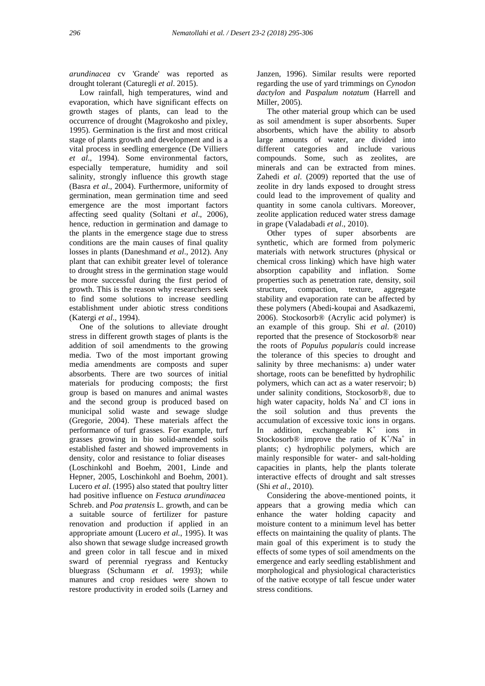*arundinacea* cv 'Grande' was reported as drought tolerant (Caturegli *et al*. 2015).

 Low rainfall, high temperatures, wind and evaporation, which have significant effects on growth stages of plants, can lead to the occurrence of drought (Magrokosho and pixley, 1995). Germination is the first and most critical stage of plants growth and development and is a vital process in seedling emergence (De Villiers *et al*., 1994). Some environmental factors, especially temperature, humidity and soil salinity, strongly influence this growth stage (Basra *et al*., 2004). Furthermore, uniformity of germination, mean germination time and seed emergence are the most important factors affecting seed quality (Soltani *et al*., 2006), hence, reduction in germination and damage to the plants in the emergence stage due to stress conditions are the main causes of final quality losses in plants (Daneshmand *et al*., 2012). Any plant that can exhibit greater level of tolerance to drought stress in the germination stage would be more successful during the first period of growth. This is the reason why researchers seek to find some solutions to increase seedling establishment under abiotic stress conditions (Katergi *et al*., 1994).

 One of the solutions to alleviate drought stress in different growth stages of plants is the addition of soil amendments to the growing media. Two of the most important growing media amendments are composts and super absorbents. There are two sources of initial materials for producing composts; the first group is based on manures and animal wastes and the second group is produced based on municipal solid waste and sewage sludge (Gregorie, 2004). These materials affect the performance of turf grasses. For example, turf grasses growing in bio solid-amended soils established faster and showed improvements in density, color and resistance to foliar diseases (Loschinkohl and Boehm, 2001, Linde and Hepner, 2005, Loschinkohl and Boehm, 2001). Lucero *et al*. (1995) also stated that poultry litter had positive influence on *Festuca arundinacea* Schreb. and *Poa pratensis* L. growth, and can be a suitable source of fertilizer for pasture renovation and production if applied in an appropriate amount (Lucero *et al.*, 1995). It was also shown that sewage sludge increased growth and green color in tall fescue and in mixed sward of perennial ryegrass and Kentucky bluegrass (Schumann *et al*. 1993); while manures and crop residues were shown to restore productivity in eroded soils (Larney and

Janzen, 1996). Similar results were reported regarding the use of yard trimmings on *Cynodon dactylon* and *Paspalum notatum* (Harrell and Miller, 2005).

 The other material group which can be used as soil amendment is super absorbents. Super absorbents, which have the ability to absorb large amounts of water, are divided into different categories and include various compounds. Some, such as zeolites, are minerals and can be extracted from mines. Zahedi *et al*. (2009) reported that the use of zeolite in dry lands exposed to drought stress could lead to the improvement of quality and quantity in some canola cultivars. Moreover, zeolite application reduced water stress damage in grape (Valadabadi *et al*., 2010).

 Other types of super absorbents are synthetic, which are formed from polymeric materials with network structures (physical or chemical cross linking) which have high water absorption capability and inflation. Some properties such as penetration rate, density, soil structure, compaction, texture, aggregate stability and evaporation rate can be affected by these polymers (Abedi-koupai and Asadkazemi, 2006). Stockosorb® (Acrylic acid polymer) is an example of this group. Shi *et al*. (2010) reported that the presence of Stockosorb® near the roots of *Populus popularis* could increase the tolerance of this species to drought and salinity by three mechanisms: a) under water shortage, roots can be benefitted by hydrophilic polymers, which can act as a water reservoir; b) under salinity conditions, Stockosorb®, due to high water capacity, holds Na<sup>+</sup> and Cl<sup>-</sup> ions in the soil solution and thus prevents the accumulation of excessive toxic ions in organs. In addition, exchangeable  $K^+$ ions in Stockosorb<sup>®</sup> improve the ratio of  $K^+ / Na^+$  in plants; c) hydrophilic polymers, which are mainly responsible for water- and salt-holding capacities in plants, help the plants tolerate interactive effects of drought and salt stresses (Shi *et al*., 2010).

 Considering the above-mentioned points, it appears that a growing media which can enhance the water holding capacity and moisture content to a minimum level has better effects on maintaining the quality of plants. The main goal of this experiment is to study the effects of some types of soil amendments on the emergence and early seedling establishment and morphological and physiological characteristics of the native ecotype of tall fescue under water stress conditions.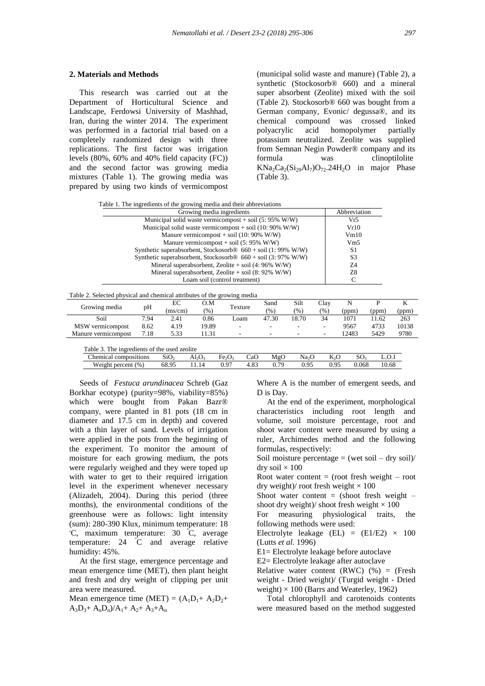#### **2. Materials and Methods**

 This research was carried out at the Department of Horticultural Science and Landscape, Ferdowsi University of Mashhad, Iran, during the winter 2014. The experiment was performed in a factorial trial based on a completely randomized design with three replications. The first factor was irrigation levels (80%, 60% and 40% field capacity (FC)) and the second factor was growing media mixtures (Table 1). The growing media was prepared by using two kinds of vermicompost

(municipal solid waste and manure) (Table 2), a synthetic (Stockosorb® 660) and a mineral super absorbent (Zeolite) mixed with the soil (Table 2). Stockosorb® 660 was bought from a German company, Evonic/ degussa®, and its chemical compound was crossed linked polyacrylic acid homopolymer partially potassium neutralized. Zeolite was supplied from Semnan Negin Powder® company and its formula was clinoptilolite  $KNa_2Ca_2(Si_2A1_7)O_{72}.24H_2O$  in major Phase (Table 3).

| Table 1. The ingredients of the growing media and their abbreviations |
|-----------------------------------------------------------------------|
| Growing media ingredients                                             |

| Growing media ingredients                                                | Abbreviation |
|--------------------------------------------------------------------------|--------------|
| Municipal solid waste vermicompost + soil $(5: 95\% \text{ W/W})$        | Vr5          |
| Municipal solid waste vermicompost + soil $(10:90\%$ W/W)                | Vr10         |
| Manure vermicompost + soil (10: 90% W/W)                                 | Vm10         |
| Manure vermicompost + soil $(5: 95\% \text{ W/W})$                       | Vm5          |
| Synthetic superabsorbent, Stockosorb $\circledR$ 660 + soil (1: 99% W/W) | S1           |
| Synthetic superabsorbent, Stockosorb $\circ$ 660 + soil (3: 97% W/W)     | S3           |
| Mineral superabsorbent, Zeolite + soil $(4:96\%$ W/W)                    | 74           |
| Mineral superabsorbent, Zeolite + soil $(8:92\%$ W/W)                    | Z8           |
| Loam soil (control treatment)                                            |              |

| Table 2. Selected physical and chemical attributes of the growing media |  |
|-------------------------------------------------------------------------|--|
|                                                                         |  |

| Growing media       | pH   | EC<br>O.M<br>Texture |       | Sand | Silt                     | Clav  |       |       |       |       |
|---------------------|------|----------------------|-------|------|--------------------------|-------|-------|-------|-------|-------|
|                     |      | (ms/cm)              | (% )  |      | (%)                      | (9)   | (0/0) | (ppm) | (ppm) | (ppm) |
| Soil                | 7.94 | 2.41                 | 0.86  | Loam | 47.30                    | 18.70 | 34    | 1071  | 11.62 | 263   |
| MSW vermicompost    | 8.62 | 4.19                 | 19.89 | ۰    | $\overline{\phantom{a}}$ | -     |       | 9567  | 4733  | 10138 |
| Manure vermicompost | 7.18 | 5.33                 | 11.31 |      | $\overline{\phantom{0}}$ | -     |       | 12483 | 5429  | 9780  |
|                     |      |                      |       |      |                          |       |       |       |       |       |

| Table 3.<br>. The ingredients of the used zeolite |                  |       |                                |     |      |                   |              |       |       |  |
|---------------------------------------------------|------------------|-------|--------------------------------|-----|------|-------------------|--------------|-------|-------|--|
| Chemical compositions                             | SiO <sub>2</sub> | Al2O2 | Fe <sub>2</sub> O <sub>3</sub> | CaO | MgC  | Na <sub>2</sub> O |              |       |       |  |
| Weight percent $(\%)$                             | 68.95            |       | 0.97                           |     | 0.79 | 0.95              | $\mathbf{Q}$ | 9.068 | 10.68 |  |

 Seeds of *Festuca arundinacea* Schreb (Gaz Borkhar ecotype) (purity=98%, viability=85%) which were bought from Pakan Bazr® company, were planted in 81 pots (18 cm in diameter and 17.5 cm in depth) and covered with a thin layer of sand. Levels of irrigation were applied in the pots from the beginning of the experiment. To monitor the amount of moisture for each growing medium, the pots were regularly weighed and they were toped up with water to get to their required irrigation level in the experiment whenever necessary (Alizadeh, 2004). During this period (three months), the environmental conditions of the greenhouse were as follows: light intensity (sum): 280-390 Klux, minimum temperature: 18 <sup>ₒ</sup>C, maximum temperature: 30 <sup>º</sup>C, average temperature: 24 <sup>º</sup>C and average relative humidity: 45%.

 At the first stage, emergence percentage and mean emergence time (MET), then plant height and fresh and dry weight of clipping per unit area were measured.

Mean emergence time (MET) =  $(A_1D_1 + A_2D_2 +$  $A_3D_3+A_nD_n$ )/ $A_1+A_2+A_3+A_n$ 

Where A is the number of emergent seeds, and D is Day.

 At the end of the experiment, morphological characteristics including root length and volume, soil moisture percentage, root and shoot water content were measured by using a ruler, Archimedes method and the following formulas, respectively:

Soil moisture percentage  $=$  (wet soil – dry soil)/ dry soil  $\times$  100

Root water content  $=$  (root fresh weight  $-$  root dry weight)/ root fresh weight  $\times$  100

Shoot water content  $=$  (shoot fresh weight  $$ shoot dry weight)/ shoot fresh weight  $\times 100$ 

For measuring physiological traits, the following methods were used:

Electrolyte leakage (EL) =  $(E1/E2) \times 100$ (Lutts *et al.* 1996)

E1= Electrolyte leakage before autoclave

E2= Electrolyte leakage after autoclave

Relative water content  $(RWC)$  (%) = (Fresh weight - Dried weight)/ (Turgid weight - Dried weight)  $\times$  100 (Barrs and Weaterley, 1962)

 Total chlorophyll and carotenoids contents were measured based on the method suggested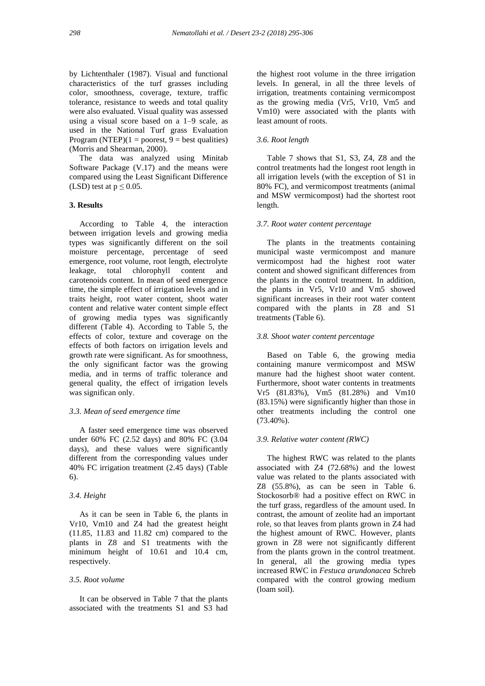by Lichtenthaler (1987). Visual and functional characteristics of the turf grasses including color, smoothness, coverage, texture, traffic tolerance, resistance to weeds and total quality were also evaluated. Visual quality was assessed using a visual score based on a 1–9 scale, as used in the National Turf grass Evaluation Program (NTEP) $(1 =$  poorest,  $9 =$  best qualities) (Morris and Shearman, 2000).

 The data was analyzed using Minitab Software Package (V.17) and the means were compared using the Least Significant Difference (LSD) test at  $p \le 0.05$ .

# **3. Results**

 According to Table 4, the interaction between irrigation levels and growing media types was significantly different on the soil moisture percentage, percentage of seed emergence, root volume, root length, electrolyte leakage, total chlorophyll content and carotenoids content. In mean of seed emergence time, the simple effect of irrigation levels and in traits height, root water content, shoot water content and relative water content simple effect of growing media types was significantly different (Table 4). According to Table 5, the effects of color, texture and coverage on the effects of both factors on irrigation levels and growth rate were significant. As for smoothness, the only significant factor was the growing media, and in terms of traffic tolerance and general quality, the effect of irrigation levels was significan only.

# *3.3. Mean of seed emergence time*

 A faster seed emergence time was observed under 60% FC (2.52 days) and 80% FC (3.04 days), and these values were significantly different from the corresponding values under 40% FC irrigation treatment (2.45 days) (Table 6).

#### *3.4. Height*

 As it can be seen in Table 6, the plants in Vr10, Vm10 and Z4 had the greatest height (11.85, 11.83 and 11.82 cm) compared to the plants in Z8 and S1 treatments with the minimum height of 10.61 and 10.4 cm, respectively.

#### *3.5. Root volume*

 It can be observed in Table 7 that the plants associated with the treatments S1 and S3 had the highest root volume in the three irrigation levels. In general, in all the three levels of irrigation, treatments containing vermicompost as the growing media (Vr5, Vr10, Vm5 and Vm10) were associated with the plants with least amount of roots.

# *3.6. Root length*

 Table 7 shows that S1, S3, Z4, Z8 and the control treatments had the longest root length in all irrigation levels (with the exception of S1 in 80% FC), and vermicompost treatments (animal and MSW vermicompost) had the shortest root length.

# *3.7. Root water content percentage*

 The plants in the treatments containing municipal waste vermicompost and manure vermicompost had the highest root water content and showed significant differences from the plants in the control treatment. In addition, the plants in Vr5, Vr10 and Vm5 showed significant increases in their root water content compared with the plants in Z8 and S1 treatments (Table 6).

#### *3.8. Shoot water content percentage*

 Based on Table 6, the growing media containing manure vermicompost and MSW manure had the highest shoot water content. Furthermore, shoot water contents in treatments Vr5 (81.83%), Vm5 (81.28%) and Vm10 (83.15%) were significantly higher than those in other treatments including the control one (73.40%).

#### *3.9. Relative water content (RWC)*

 The highest RWC was related to the plants associated with Z4 (72.68%) and the lowest value was related to the plants associated with Z8 (55.8%), as can be seen in Table 6. Stockosorb® had a positive effect on RWC in the turf grass, regardless of the amount used. In contrast, the amount of zeolite had an important role, so that leaves from plants grown in Z4 had the highest amount of RWC. However, plants grown in Z8 were not significantly different from the plants grown in the control treatment. In general, all the growing media types increased RWC in *Festuca arundonacea* Schreb compared with the control growing medium (loam soil).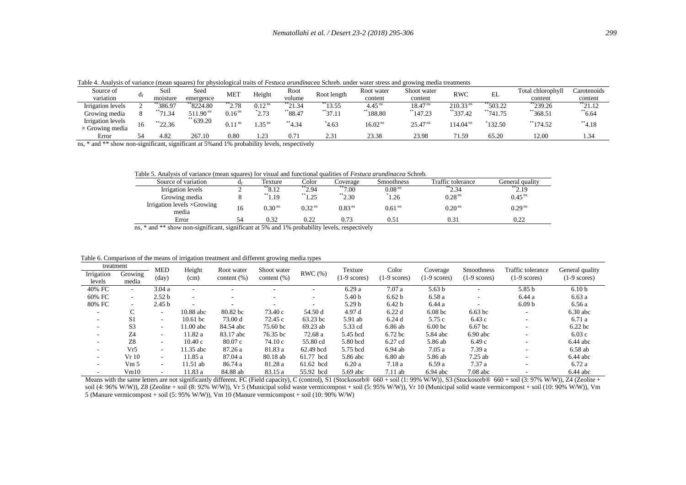Table 4. Analysis of variance (mean squares) for physiological traits of *Festuca arundinacea* Schreb. under water stress and growing media treatments

| Source of                                   |     | Soil      | Seed                    |                    |                    | Root                |              | Root water           | Shoot water           |                        | $\sim$     | Total chlorophyll | Carotenoids |
|---------------------------------------------|-----|-----------|-------------------------|--------------------|--------------------|---------------------|--------------|----------------------|-----------------------|------------------------|------------|-------------------|-------------|
| variation                                   | U٤  | moisture  | emergence               | MET                | Height             | volume              | Root length  | content              | content               | <b>RWC</b>             | ىلنا       | content           | content     |
| Irrigation levels                           |     | **386.97  | **8224.80               | $\frac{11}{2.78}$  | 0.12 <sup>ns</sup> | $\frac{134}{21.34}$ | **13.55      | $4.45$ <sup>ns</sup> | 18.47 <sup>ns</sup>   | $210.33$ <sup>ns</sup> | **503.22   | **239.26          | **21.12     |
| Growing media                               |     | $*$ 71.34 | 90 <sup>ns</sup><br>511 | 0.16 <sup>ns</sup> | $^*2.73$           | $*$ 88.47           | $*37.11$     | $**188.80$           | 147.23                | $*$ 337.42             | $*$ 741.75 | **368.51          | $*$ 6.64    |
| Irrigation levels<br>$\times$ Growing media | . . | $*22.36$  | 639.20                  | 0.11<br>- 118      | 1.35 <sup>ns</sup> | $**4.34$            | 4.63         | 16.02 <sup>ns</sup>  | $25.47$ <sup>ns</sup> | 114.04 <sup>ns</sup>   | 132.50     | $*$ 174.52        | 4.18        |
| Error                                       |     | 4.82      | 267.10                  | 0.80               | 1.23               | 0.71                | 0.21<br>2.51 | 23.38                | 23.98                 | 71.59                  | 65.20      | 12.00             | 1.34        |

ns, \* and \*\* show non-significant, significant at 5%and 1% probability levels, respectively

Table 5. Analysis of variance (mean squares) for visual and functional qualities of *Festuca arundinacea* Schreb*.*

| Source of variation                         | $d_{\rm f}$ | Texture            | Color              | Coverage           | <b>Smoothness</b>  | Traffic tolerance    | General quality      |
|---------------------------------------------|-------------|--------------------|--------------------|--------------------|--------------------|----------------------|----------------------|
| Irrigation levels                           |             | *8.12              | $^*2.94$           | $*7.00$            | 0.08 <sup>ns</sup> | $1*2.34$             | $\ddot{ }^{*2.19}$   |
| Growing media                               |             | $\ddot{ }^{*1.19}$ | **1.25             | $\ddot{ }^{*2.30}$ | 1.26               | 0.28 <sup>ns</sup>   | $0.45$ <sup>ns</sup> |
| Irrigation levels $\times$ Growing<br>media |             | $0.30$ $^{\rm ns}$ | 0.32 <sup>ns</sup> | 0.83 <sup>ns</sup> | 0.61 <sup>ns</sup> | $0.20$ <sup>ns</sup> | 0.29 <sup>ns</sup>   |
| Error                                       | 54          | 0.32               | 0.22               | 0.73               | 0.51               | 0.31                 | 0.22                 |
| .<br>.                                      | .           |                    | .                  |                    |                    |                      |                      |

ns, \* and \*\* show non-significant, significant at 5% and 1% probability levels, respectively

Table 6. Comparison of the means of irrigation treatment and different growing media types

| treatment                |                          | <b>MED</b>               | Height     | Root water      | Shoot water              |           | Texture           | Color              |                     | <b>Smoothness</b>  | Traffic tolerance        | General quality   |
|--------------------------|--------------------------|--------------------------|------------|-----------------|--------------------------|-----------|-------------------|--------------------|---------------------|--------------------|--------------------------|-------------------|
| Irrigation               | Growing                  |                          |            |                 |                          | RWC(%)    |                   |                    | Coverage            |                    |                          |                   |
| levels                   | media                    | (day)                    | (cm)       | content $(\% )$ | content $(\% )$          |           | $(1-9$ scores)    | $(1-9$ scores)     | $(1-9$ scores)      | $(1-9$ scores)     | $(1-9$ scores)           | $(1-9$ scores)    |
| 40% FC                   | $\sim$                   | 3.04a                    |            |                 |                          |           | 6.29a             | 7.07a              | 5.63 <sub>b</sub>   |                    | 5.85 b                   | 6.10 <sub>b</sub> |
| 60% FC                   | $\overline{\phantom{a}}$ | 2.52 <sub>b</sub>        |            |                 | $\overline{\phantom{a}}$ | ۰         | 5.40 <sub>b</sub> | 6.62 <sub>b</sub>  | 6.58 a              |                    | 6.44 a                   | 6.63a             |
| 80% FC                   | $\sim$                   | 2.45 <sub>b</sub>        |            |                 |                          |           | 5.29 <sub>b</sub> | 6.42 <sub>b</sub>  | 6.44 a              |                    | 6.09 <sub>b</sub>        | 6.56 a            |
| $\overline{\phantom{a}}$ | C                        | $\overline{\phantom{0}}$ | 10.88 abc  | 80.82 bc        | 73.40 c                  | 54.50 d   | 4.97 d            | 6.22d              | 6.08 <sub>b</sub> c | 6.63~bc            | $\overline{\phantom{a}}$ | $6.30$ abc        |
| $\sim$                   | S <sub>1</sub>           | $\overline{\phantom{a}}$ | $10.61$ bc | 73.00 d         | 72.45 c                  | 63.23 bc  | 5.91 ab           | 6.24d              | 5.75 c              | 6.43c              |                          | 6.71 a            |
| $\sim$                   | S <sub>3</sub>           | $\overline{\phantom{0}}$ | 11.00 abc  | 84.54 abc       | 75.60 bc                 | 69.23 ab  | 5.33 cd           | 6.86 ab            | 6.00 <sub>bc</sub>  | 6.67 <sub>bc</sub> | . .                      | 6.22 bc           |
| $\sim$                   | Z <sub>4</sub>           | $\overline{\phantom{a}}$ | 11.82 a    | 83.17 abc       | 76.35 bc                 | 72.68 a   | 5.45 bcd          | 6.72 <sub>bc</sub> | 5.84 abc            | $6.90$ abc         |                          | 6.03c             |
| $\sim$                   | Z8                       | $\overline{\phantom{0}}$ | 10.40c     | 80.07c          | 74.10c                   | 55.80 cd  | 5.80 bcd          | 6.27 cd            | 5.86 ab             | 6.49c              | . .                      | $6.44$ abc        |
| $\sim$                   | Vr5                      | $\overline{\phantom{a}}$ | 11.35 abc  | 87.26 a         | 81.83 a                  | 62.49 bcd | 5.75 bcd          | $6.94$ ab          | 7.05a               | 7.39 a             |                          | $6.58$ ab         |
| $\sim$                   | Vr10                     | $\overline{\phantom{a}}$ | 11.85 a    | 87.04 a         | 80.18 ab                 | 61.77 bcd | 5.86 abc          | 6.80ab             | 5.86 ab             | $7.25$ ab          | . .                      | $6.44$ abc        |
| $\sim$                   | Vm 5                     | $\overline{\phantom{a}}$ | 11.51 ab   | 86.74 a         | 81.28 a                  | 61.62 bcd | 6.20a             | 7.18 a             | 6.59 a              | 7.37 a             |                          | 6.72 a            |
| $\sim$                   | Vm10                     | $\overline{\phantom{a}}$ | 11.83 a    | 84.88 ab        | 83.15 a                  | 55.92 bcd | 5.69 abc          | 7.11ab             | $6.94$ abc          | $7.08$ abc         |                          | $6.44$ abc        |

Means with the same letters are not significantly different. FC (Field capacity), C (control), S1 (Stockosorb® 660 + soil (1: 99% W/W)), S3 (Stockosorb® 660 + soil (3: 97% W/W)), Z4 (Zeolite + soil (4: 96% W/W)), Z8 (Zeolite + soil (8: 92% W/W)), Vr 5 (Municipal solid waste vermicompost + soil (5: 95% W/W)), Vr 10 (Municipal solid waste vermicompost + soil (10: 90% W/W)), Vm 5 (Manure vermicompost + soil (5: 95% W/W)), Vm 10 (Manure vermicompost + soil (10: 90% W/W)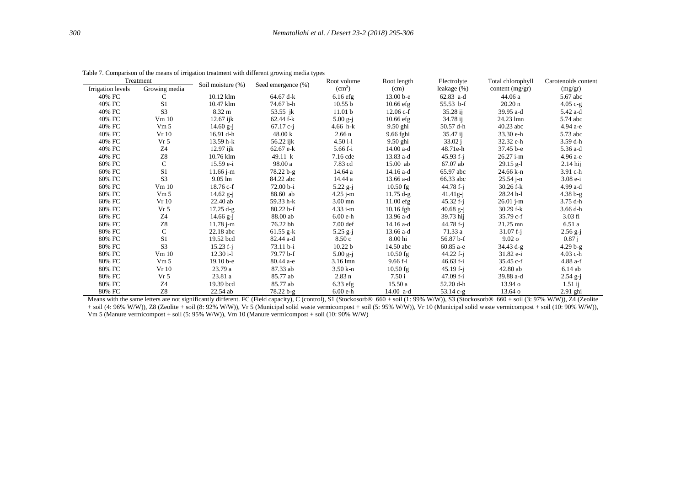| Treatment         |                 | Soil moisture (%) | Seed emergence (%) | Root volume        | Root length  | Electrolyte   | Total chlorophyll  | Carotenoids content |
|-------------------|-----------------|-------------------|--------------------|--------------------|--------------|---------------|--------------------|---------------------|
| Irrigation levels | Growing media   |                   |                    | (cm <sup>3</sup> ) | (cm)         | leakage (%)   | content (mg/gr)    | (mg/gr)             |
| 40% FC            | $\mathcal{C}$   | 10.12 klm         | 64.67 d-k          | $6.16$ efg         | $13.00 b-e$  | $62.83$ a-d   | 44.06a             | 5.67 abc            |
| 40% FC            | S1              | 10.47 klm         | 74.67 b-h          | 10.55 b            | $10.66$ efg  | $55.53$ b-f   | $20.20 \text{ n}$  | $4.05c-g$           |
| 40% FC            | S <sub>3</sub>  | $8.32 \text{ m}$  | 53.55 jk           | 11.01 <sub>b</sub> | $12.06 c-f$  | 35.28 i       | 39.95 a-d          | 5.42 a-d            |
| 40% FC            | Vm 10           | $12.67$ ijk       | $62.44$ f-k        | $5.00 g-j$         | $10.66$ efg  | 34.78 ij      | 24.23 lmn          | 5.74 abc            |
| 40% FC            | Vm 5            | 14.60 $g - j$     | $67.17$ c-j        | 4.66 $h-k$         | $9.50$ ghi   | 50.57 d-h     | $40.23$ abc        | 4.94 a-e            |
| 40% FC            | Vr 10           | 16.91 d-h         | 48.00 k            | 2.66 <sub>n</sub>  | 9.66 fghi    | 35.47 i       | 33.30 e-h          | 5.73 abc            |
| 40% FC            | Vr <sub>5</sub> | 13.59 h-k         | 56.22 ijk          | $4.50i-1$          | $9.50$ ghi   | 33.02 j       | 32.32 e-h          | $3.59$ d-h          |
| 40% FC            | Z4              | $12.97$ ijk       | $62.67$ e-k        | 5.66 f-i           | 14.00 a-d    | 48.71e-h      | 37.45 b-e          | 5.36 a-d            |
| 40% FC            | ${\bf Z}8$      | 10.76 klm         | 49.11 k            | 7.16 cde           | 13.83 a-d    | $45.93 f - j$ | 26.27 i-m          | 4.96 a-e            |
| 60% FC            | $\mathsf{C}$    | $15.59 e-i$       | 98.00 a            | 7.83 cd            | 15.00 ab     | 67.07 ab      | $29.15$ g-l        | $2.14$ hij          |
| 60% FC            | S <sub>1</sub>  | $11.66$ j-m       | $78.22 b-g$        | 14.64 a            | 14.16 a-d    | 65.97 abc     | 24.66 k-n          | 3.91 c-h            |
| 60% FC            | S <sub>3</sub>  | $9.05 \text{ lm}$ | 84.22 abc          | 14.44 a            | 13.66 a-d    | 66.33 abc     | $25.54$ j-n        | $3.08e-i$           |
| 60% FC            | Vm 10           | $18.76 c-f$       | $72.00 b-i$        | $5.22$ g-j         | $10.50$ fg   | 44.78 f-i     | $30.26$ f-k        | 4.99 a-d            |
| 60% FC            | Vm 5            | $14.62$ g-j       | 88.60 ab           | $4.25$ j-m         | $11.75 d-g$  | $41.41g-i$    | 28.24 h-l          | $4.38 b-g$          |
| 60% FC            | Vr 10           | $22.40$ ab        | 59.33 h-k          | $3.00$ mn          | $11.00$ efg  | $45.32 f - i$ | $26.01$ j-m        | 3.75 d-h            |
| 60% FC            | Vr <sub>5</sub> | $17.25 d-g$       | $80.22 b-f$        | $4.33 i-m$         | $10.16$ fgh  | 40.68 g-j     | $30.29$ f-k        | $3.66$ d-h          |
| 60% FC            | Z <sub>4</sub>  | $14.66$ g-j       | 88.00 ab           | $6.00e-h$          | 13.96 a-d    | 39.73 hij     | $35.79 c-f$        | $3.03$ fi           |
| 60% FC            | ${\bf Z}8$      | $11.78$ j-m       | 76.22 bh           | $7.00 \text{ def}$ | 14.16 a-d    | $44.78 f - i$ | $21.25 \text{ mm}$ | 6.51a               |
| 80% FC            | $\mathsf{C}$    | $22.18$ abc       | 61.55 g-k          | $5.25 g-j$         | 13.66 a-d    | 71.33 a       | $31.07 f - i$      | $2.56$ g-j          |
| 80% FC            | S1              | 19.52 bcd         | 82.44 a-d          | 8.50c              | 8.00 hi      | 56.87 b-f     | 9.02 <sub>o</sub>  | 0.87 i              |
| 80% FC            | S <sub>3</sub>  | $15.23 f-i$       | $73.11 b-i$        | 10.22 b            | 14.50 abc    | 60.85 a-e     | $34.43 d-g$        | $4.29 b-g$          |
| 80% FC            | Vm 10           | $12.30 i-1$       | 79.77 b-f          | $5.00 g-j$         | $10.50$ fg   | $44.22 f - i$ | 31.82 e-i          | $4.03$ c-h          |
| 80% FC            | Vm 5            | $19.10b-e$        | 80.44 a-e          | $3.16$ lmn         | $9.66 f - i$ | $46.63 f - i$ | $35.45 c-f$        | $4.88$ a-f          |
| 80% FC            | Vr10            | 23.79 a           | 87.33 ab           | $3.50 k-n$         | $10.50$ fg   | $45.19 f-i$   | 42.80 ab           | $6.14$ ab           |
| 80% FC            | Vr <sub>5</sub> | 23.81 a           | 85.77 ab           | $2.83$ n           | 7.50 i       | $47.09 f - i$ | 39.88 a-d          | $2.54 g-j$          |
| 80% FC            | Z4              | 19.39 bcd         | 85.77 ab           | $6.33$ efg         | 15.50a       | 52.20 d-h     | 13.94 o            | $1.51$ ij           |
| 80% FC            | Z8              | $22.54$ ab        | $78.22 b-g$        | $6.00e-h$          | $14.00$ a-d  | $53.14$ c-g   | $13.64\,\sigma$    | $2.91$ ghi          |

Table 7. Comparison of the means of irrigation treatment with different growing media types

Means with the same letters are not significantly different. FC (Field capacity), C (control), S1 (Stockosorb® 660 + soil (1: 99% W/W)), S3 (Stockosorb® 660 + soil (3: 97% W/W)), Z4 (Zeolite + soil (4: 96% W/W)), Z8 (Zeolite + soil (8: 92% W/W)), Vr 5 (Municipal solid waste vermicompost + soil (5: 95% W/W)), Vr 10 (Municipal solid waste vermicompost + soil (10: 90% W/W)), Vm 5 (Manure vermicompost + soil (5: 95% W/W)), Vm 10 (Manure vermicompost + soil (10: 90% W/W)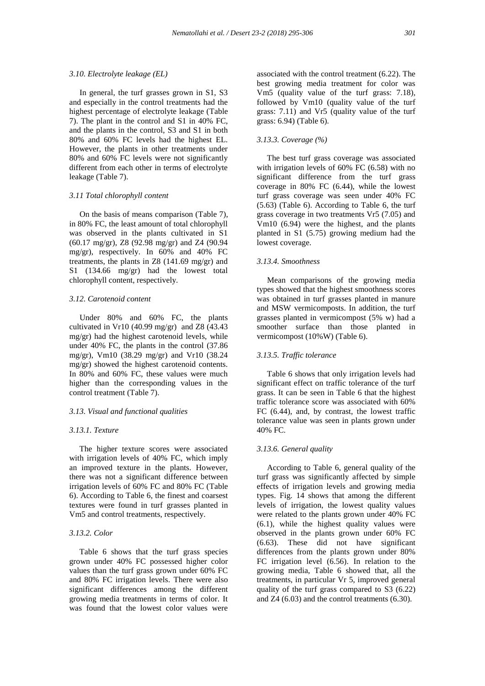## *3.10. Electrolyte leakage (EL)*

 In general, the turf grasses grown in S1, S3 and especially in the control treatments had the highest percentage of electrolyte leakage (Table 7). The plant in the control and S1 in 40% FC, and the plants in the control, S3 and S1 in both 80% and 60% FC levels had the highest EL. However, the plants in other treatments under 80% and 60% FC levels were not significantly different from each other in terms of electrolyte leakage (Table 7).

## *3.11 Total chlorophyll content*

 On the basis of means comparison (Table 7), in 80% FC, the least amount of total chlorophyll was observed in the plants cultivated in S1 (60.17 mg/gr), Z8 (92.98 mg/gr) and Z4 (90.94 mg/gr), respectively. In 60% and 40% FC treatments, the plants in Z8 (141.69 mg/gr) and S1 (134.66 mg/gr) had the lowest total chlorophyll content, respectively.

# *3.12. Carotenoid content*

 Under 80% and 60% FC, the plants cultivated in Vr10 (40.99 mg/gr) and Z8 (43.43 mg/gr) had the highest carotenoid levels, while under 40% FC, the plants in the control (37.86 mg/gr), Vm10 (38.29 mg/gr) and Vr10 (38.24 mg/gr) showed the highest carotenoid contents. In 80% and 60% FC, these values were much higher than the corresponding values in the control treatment (Table 7).

# *3.13. Visual and functional qualities*

#### *3.13.1. Texture*

 The higher texture scores were associated with irrigation levels of 40% FC, which imply an improved texture in the plants. However, there was not a significant difference between irrigation levels of 60% FC and 80% FC (Table 6). According to Table 6, the finest and coarsest textures were found in turf grasses planted in Vm5 and control treatments, respectively.

# *3.13.2. Color*

 Table 6 shows that the turf grass species grown under 40% FC possessed higher color values than the turf grass grown under 60% FC and 80% FC irrigation levels. There were also significant differences among the different growing media treatments in terms of color. It was found that the lowest color values were

associated with the control treatment (6.22). The best growing media treatment for color was Vm5 (quality value of the turf grass: 7.18), followed by Vm10 (quality value of the turf grass: 7.11) and Vr5 (quality value of the turf grass: 6.94) (Table 6).

# *3.13.3. Coverage (%)*

 The best turf grass coverage was associated with irrigation levels of 60% FC (6.58) with no significant difference from the turf grass coverage in 80% FC (6.44), while the lowest turf grass coverage was seen under 40% FC (5.63) (Table 6). According to Table 6, the turf grass coverage in two treatments Vr5 (7.05) and Vm10 (6.94) were the highest, and the plants planted in S1 (5.75) growing medium had the lowest coverage.

## *3.13.4. Smoothness*

 Mean comparisons of the growing media types showed that the highest smoothness scores was obtained in turf grasses planted in manure and MSW vermicomposts. In addition, the turf grasses planted in vermicompost (5% w) had a smoother surface than those planted in vermicompost (10%W) (Table 6).

## *3.13.5. Traffic tolerance*

 Table 6 shows that only irrigation levels had significant effect on traffic tolerance of the turf grass. It can be seen in Table 6 that the highest traffic tolerance score was associated with 60% FC (6.44), and, by contrast, the lowest traffic tolerance value was seen in plants grown under 40% FC.

## *3.13.6. General quality*

 According to Table 6, general quality of the turf grass was significantly affected by simple effects of irrigation levels and growing media types. Fig. 14 shows that among the different levels of irrigation, the lowest quality values were related to the plants grown under 40% FC (6.1), while the highest quality values were observed in the plants grown under 60% FC (6.63). These did not have significant differences from the plants grown under 80% FC irrigation level (6.56). In relation to the growing media, Table 6 showed that, all the treatments, in particular Vr 5, improved general quality of the turf grass compared to S3 (6.22) and Z4 (6.03) and the control treatments (6.30).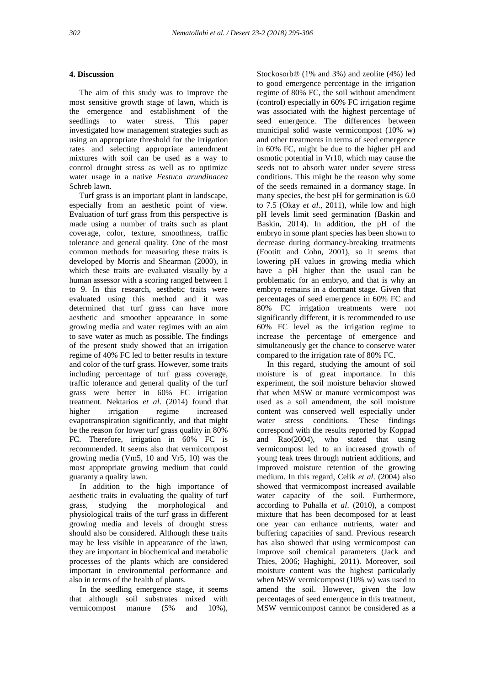# **4. Discussion**

 The aim of this study was to improve the most sensitive growth stage of lawn, which is the emergence and establishment of the seedlings to water stress. This paper investigated how management strategies such as using an appropriate threshold for the irrigation rates and selecting appropriate amendment mixtures with soil can be used as a way to control drought stress as well as to optimize water usage in a native *Festuca arundinacea* Schreb lawn.

 Turf grass is an important plant in landscape, especially from an aesthetic point of view. Evaluation of turf grass from this perspective is made using a number of traits such as plant coverage, color, texture, smoothness, traffic tolerance and general quality. One of the most common methods for measuring these traits is developed by Morris and Shearman (2000), in which these traits are evaluated visually by a human assessor with a scoring ranged between 1 to 9. In this research, aesthetic traits were evaluated using this method and it was determined that turf grass can have more aesthetic and smoother appearance in some growing media and water regimes with an aim to save water as much as possible. The findings of the present study showed that an irrigation regime of 40% FC led to better results in texture and color of the turf grass. However, some traits including percentage of turf grass coverage, traffic tolerance and general quality of the turf grass were better in 60% FC irrigation treatment. Nektarios *et al*. (2014) found that higher irrigation regime increased evapotranspiration significantly, and that might be the reason for lower turf grass quality in 80% FC. Therefore, irrigation in 60% FC is recommended. It seems also that vermicompost growing media (Vm5, 10 and Vr5, 10) was the most appropriate growing medium that could guaranty a quality lawn.

 In addition to the high importance of aesthetic traits in evaluating the quality of turf grass, studying the morphological and physiological traits of the turf grass in different growing media and levels of drought stress should also be considered. Although these traits may be less visible in appearance of the lawn, they are important in biochemical and metabolic processes of the plants which are considered important in environmental performance and also in terms of the health of plants.

 In the seedling emergence stage, it seems that although soil substrates mixed with vermicompost manure (5% and 10%),

Stockosorb® (1% and 3%) and zeolite (4%) led to good emergence percentage in the irrigation regime of 80% FC, the soil without amendment (control) especially in 60% FC irrigation regime was associated with the highest percentage of seed emergence. The differences between municipal solid waste vermicompost (10% w) and other treatments in terms of seed emergence in 60% FC, might be due to the higher pH and osmotic potential in Vr10, which may cause the seeds not to absorb water under severe stress conditions. This might be the reason why some of the seeds remained in a dormancy stage. In many species, the best pH for germination is 6.0 to 7.5 (Okay *et al*., 2011), while low and high pH levels limit seed germination (Baskin and Baskin, 2014). In addition, the pH of the embryo in some plant species has been shown to decrease during dormancy-breaking treatments (Footitt and Cohn, 2001), so it seems that lowering pH values in growing media which have a pH higher than the usual can be problematic for an embryo, and that is why an embryo remains in a dormant stage. Given that percentages of seed emergence in 60% FC and 80% FC irrigation treatments were not significantly different, it is recommended to use 60% FC level as the irrigation regime to increase the percentage of emergence and simultaneously get the chance to conserve water compared to the irrigation rate of 80% FC.

 In this regard, studying the amount of soil moisture is of great importance. In this experiment, the soil moisture behavior showed that when MSW or manure vermicompost was used as a soil amendment, the soil moisture content was conserved well especially under water stress conditions. These findings correspond with the results reported by Koppad and  $Rao(2004)$ , who stated that using vermicompost led to an increased growth of young teak trees through nutrient additions, and improved moisture retention of the growing medium. In this regard, Celik *et al*. (2004) also showed that vermicompost increased available water capacity of the soil. Furthermore, according to Puhalla *et al*. (2010), a compost mixture that has been decomposed for at least one year can enhance nutrients, water and buffering capacities of sand. Previous research has also showed that using vermicompost can improve soil chemical parameters (Jack and Thies, 2006; Haghighi, 2011). Moreover, soil moisture content was the highest particularly when MSW vermicompost (10% w) was used to amend the soil. However, given the low percentages of seed emergence in this treatment, MSW vermicompost cannot be considered as a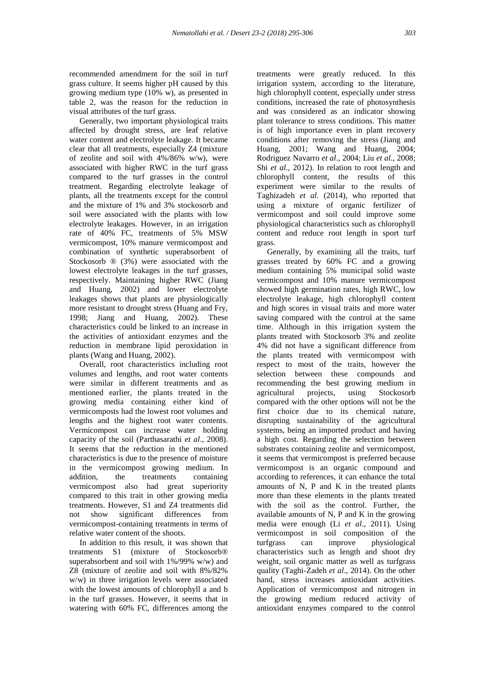recommended amendment for the soil in turf grass culture. It seems higher pH caused by this growing medium type (10% w), as presented in table 2, was the reason for the reduction in visual attributes of the turf grass.

 Generally, two important physiological traits affected by drought stress, are leaf relative water content and electrolyte leakage. It became clear that all treatments, especially Z4 (mixture of zeolite and soil with  $4\%/86\%$  w/w), were associated with higher RWC in the turf grass compared to the turf grasses in the control treatment. Regarding electrolyte leakage of plants, all the treatments except for the control and the mixture of 1% and 3% stockosorb and soil were associated with the plants with low electrolyte leakages. However, in an irrigation rate of 40% FC, treatments of 5% MSW vermicompost, 10% manure vermicompost and combination of synthetic superabsorbent of Stockosorb ® (3%) were associated with the lowest electrolyte leakages in the turf grasses, respectively. Maintaining higher RWC (Jiang and Huang, 2002) and lower electrolyte leakages shows that plants are physiologically more resistant to drought stress (Huang and Fry, 1998; Jiang and Huang, 2002). These characteristics could be linked to an increase in the activities of antioxidant enzymes and the reduction in membrane lipid peroxidation in plants (Wang and Huang, 2002).

 Overall, root characteristics including root volumes and lengths, and root water contents were similar in different treatments and as mentioned earlier, the plants treated in the growing media containing either kind of vermicomposts had the lowest root volumes and lengths and the highest root water contents. Vermicompost can increase water holding capacity of the soil (Parthasarathi *et al*., 2008). It seems that the reduction in the mentioned characteristics is due to the presence of moisture in the vermicompost growing medium. In addition, the treatments containing addition, the treatments containing vermicompost also had great superiority compared to this trait in other growing media treatments. However, S1 and Z4 treatments did not show significant differences from vermicompost-containing treatments in terms of relative water content of the shoots.

 In addition to this result, it was shown that treatments S1 (mixture of Stockosorb® superabsorbent and soil with 1%/99% w/w) and Z8 (mixture of zeolite and soil with 8%/82% w/w) in three irrigation levels were associated with the lowest amounts of chlorophyll a and b in the turf grasses. However, it seems that in watering with 60% FC, differences among the

treatments were greatly reduced. In this irrigation system, according to the literature, high chlorophyll content, especially under stress conditions, increased the rate of photosynthesis and was considered as an indicator showing plant tolerance to stress conditions. This matter is of high importance even in plant recovery conditions after removing the stress (Jiang and Huang, 2001; Wang and Huang, 2004; Rodriguez Navarro *et al*., 2004; Liu *et al*., 2008; Shi *et al*., 2012). In relation to root length and chlorophyll content, the results of this experiment were similar to the results of Taghizadeh *et al*. (2014), who reported that using a mixture of organic fertilizer of vermicompost and soil could improve some physiological characteristics such as chlorophyll content and reduce root length in sport turf grass.

 Generally, by examining all the traits, turf grasses treated by 60% FC and a growing medium containing 5% municipal solid waste vermicompost and 10% manure vermicompost showed high germination rates, high RWC, low electrolyte leakage, high chlorophyll content and high scores in visual traits and more water saving compared with the control at the same time. Although in this irrigation system the plants treated with Stockosorb 3% and zeolite 4% did not have a significant difference from the plants treated with vermicompost with respect to most of the traits, however the selection between these compounds and recommending the best growing medium in agricultural projects, using Stockosorb compared with the other options will not be the first choice due to its chemical nature, disrupting sustainability of the agricultural systems, being an imported product and having a high cost. Regarding the selection between substrates containing zeolite and vermicompost, it seems that vermicompost is preferred because vermicompost is an organic compound and according to references, it can enhance the total amounts of N, P and K in the treated plants more than these elements in the plants treated with the soil as the control. Further, the available amounts of N, P and K in the growing media were enough (Li *et al*., 2011). Using vermicompost in soil composition of the turfgrass can improve physiological characteristics such as length and shoot dry weight, soil organic matter as well as turfgrass quality (Taghi-Zadeh *et al*., 2014). On the other hand, stress increases antioxidant activities. Application of vermicompost and nitrogen in the growing medium reduced activity of antioxidant enzymes compared to the control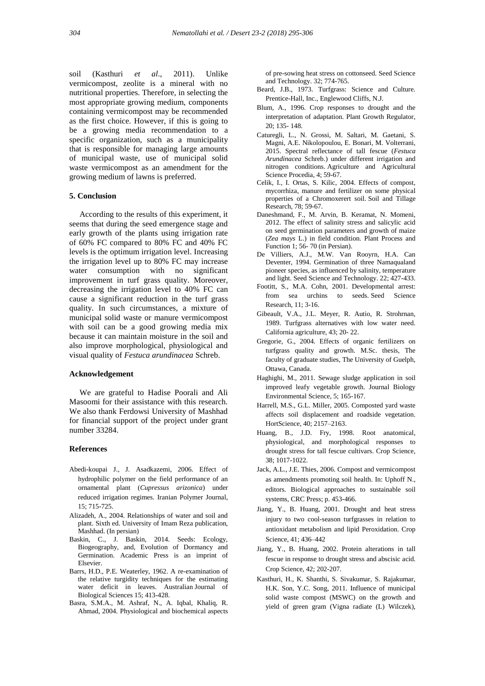soil (Kasthuri *et al*., 2011). Unlike vermicompost, zeolite is a mineral with no nutritional properties. Therefore, in selecting the most appropriate growing medium, components containing vermicompost may be recommended as the first choice. However, if this is going to be a growing media recommendation to a specific organization, such as a municipality that is responsible for managing large amounts of municipal waste, use of municipal solid waste vermicompost as an amendment for the growing medium of lawns is preferred.

#### **5. Conclusion**

 According to the results of this experiment, it seems that during the seed emergence stage and early growth of the plants using irrigation rate of 60% FC compared to 80% FC and 40% FC levels is the optimum irrigation level. Increasing the irrigation level up to 80% FC may increase water consumption with no significant improvement in turf grass quality. Moreover, decreasing the irrigation level to 40% FC can cause a significant reduction in the turf grass quality. In such circumstances, a mixture of municipal solid waste or manure vermicompost with soil can be a good growing media mix because it can maintain moisture in the soil and also improve morphological, physiological and visual quality of *Festuca arundinacea* Schreb.

#### **Acknowledgement**

 We are grateful to Hadise Poorali and Ali Masoomi for their assistance with this research. We also thank Ferdowsi University of Mashhad for financial support of the project under grant number 33284.

#### **References**

- Abedi-koupai J., J. Asadkazemi, 2006. Effect of hydrophilic polymer on the field performance of an ornamental plant (*Cupressus arizonica*) under reduced irrigation regimes. Iranian Polymer Journal, 15; 715-725.
- Alizadeh, A., 2004. Relationships of water and soil and plant. Sixth ed. University of Imam Reza publication, Mashhad. (In persian)
- Baskin, C., J. Baskin, 2014. Seeds: Ecology, Biogeography, and, Evolution of Dormancy and Germination. Academic Press is an imprint of Elsevier.
- Barrs, H.D., P.E. Weaterley, 1962. A re-examination of the relative turgidity techniques for the estimating water deficit in leaves. Australian Journal of Biological Sciences 15; 413-428.
- Basra, S.M.A., M. Ashraf, N., A. Iqbal, Khaliq, R. Ahmad, 2004. Physiological and biochemical aspects

 of pre-sowing heat stress on cottonseed. Seed Science and Technology. 32; 774-765.

- Beard, J.B., 1973. Turfgrass: Science and Culture. Prentice-Hall, Inc., Englewood Cliffs, N.J.
- Blum, A., 1996. Crop responses to drought and the interpretation of adaptation. Plant Growth Regulator, 20; 135- 148.
- Caturegli, L., N. Grossi, M. Saltari, M. Gaetani, S. Magni, A.E. Nikolopoulou, E. Bonari, M. Volterrani, 2015. Spectral reflectance of tall fescue (*Festuca Arundinacea* Schreb.) under different irrigation and nitrogen conditions. Agriculture and Agricultural Science Procedia, 4; 59-67.
- Celik, I., I. Ortas, S. Kilic, 2004. Effects of compost, mycorrhiza, manure and fertilizer on some physical properties of a Chromoxerert soil. Soil and Tillage Research, 78; 59-67.
- Daneshmand, F., M. Arvin, B. Keramat, N. Momeni, 2012. The effect of salinity stress and salicylic acid on seed germination parameters and growth of maize (*Zea mays* L.) in field condition. Plant Process and Function 1; 56- 70 (in Persian).
- De Villiers, A.J., M.W. Van Rooyrn, H.A. Can Deventer, 1994. Germination of three Namaqualand pioneer species, as influenced by salinity, temperature and light. Seed Science and Technology. 22; 427-433.
- Footitt, S., M.A. Cohn, 2001. Developmental arrest: from sea urchins to seeds. Seed Science Research, 11; 3-16.
- Gibeault, V.A., J.L. Meyer, R. Autio, R. Strohrnan, 1989. Turfgrass alternatives with low water need. California agriculture, 43; 20- 22.
- Gregorie, G., 2004. Effects of organic fertilizers on turfgrass quality and growth. M.Sc. thesis, The faculty of graduate studies, The University of Guelph, Ottawa, Canada.
- Haghighi, M., 2011. Sewage sludge application in soil improved leafy vegetable growth. Journal Biology Environmental Science, 5; 165-167.
- Harrell, M.S., G.L. Miller, 2005. Composted yard waste affects soil displacement and roadside vegetation. HortScience, 40; 2157–2163.
- Huang, B., J.D. Fry, 1998. Root anatomical, physiological, and morphological responses to drought stress for tall fescue cultivars. Crop Science, 38; 1017-1022.
- Jack, A.L., J.E. Thies, 2006. Compost and vermicompost as amendments promoting soil health. In: Uphoff N., editors. Biological approaches to sustainable soil systems, CRC Press; p. 453-466.
- Jiang, Y., B. Huang, 2001. Drought and heat stress injury to two cool-season turfgrasses in relation to antioxidant metabolism and lipid Peroxidation. Crop Science, 41; 436–442
- Jiang, Y., B. Huang, 2002. Protein alterations in tall fescue in response to drought stress and abscisic acid. Crop Science, 42; 202-207.
- Kasthuri, H., K. Shanthi, S. Sivakumar, S. Rajakumar, H.K. Son, Y.C. Song, 2011. Influence of municipal solid waste compost (MSWC) on the growth and yield of green gram (Vigna radiate (L) Wilczek),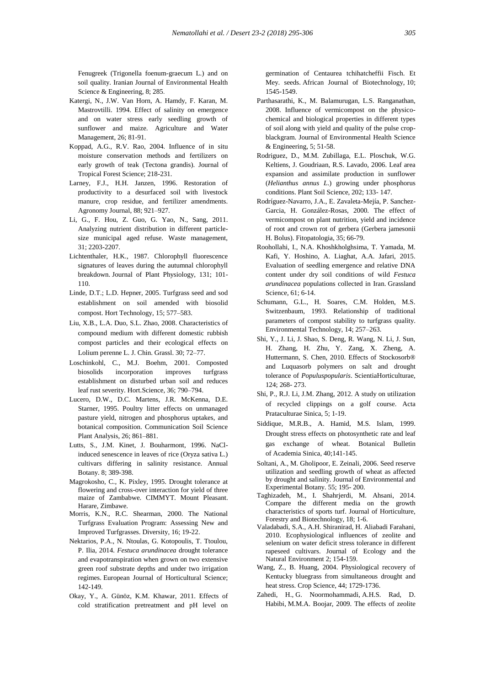Fenugreek (Trigonella foenum-graecum L.) and on soil quality. Iranian Journal of Environmental Health Science & Engineering, 8; 285.

- Katergi, N., J.W. Van Horn, A. Hamdy, F. Karan, M. Mastrovtilli. 1994. Effect of salinity on emergence and on water stress early seedling growth of sunflower and maize. Agriculture and Water Management, 26; 81-91.
- Koppad, A.G., R.V. Rao, 2004. Influence of in situ moisture conservation methods and fertilizers on early growth of teak (Tectona grandis). Journal of Tropical Forest Science; 218-231.
- Larney, F.J., H.H. Janzen, 1996. Restoration of productivity to a desurfaced soil with livestock manure, crop residue, and fertilizer amendments. Agronomy Journal, 88; 921–927.
- Li, G., F. Hou, Z. Guo, G. Yao, N., Sang, 2011. Analyzing nutrient distribution in different particle size municipal aged refuse. Waste management, 31; 2203-2207.
- Lichtenthaler, H.K., 1987. Chlorophyll fluorescence signatures of leaves during the autumnal chlorophyll breakdown. Journal of Plant Physiology, 131; 101- 110.
- Linde, D.T.; L.D. Hepner, 2005. Turfgrass seed and sod establishment on soil amended with biosolid compost. Hort Technology, 15; 577–583.
- Liu, X.B., L.A. Duo, S.L. Zhao, 2008. Characteristics of compound medium with different domestic rubbish compost particles and their ecological effects on Lolium perenne L. J. Chin. Grassl. 30; 72–77.
- Loschinkohl, C., M.J. Boehm, 2001. Composted biosolids incorporation improves turfgrass establishment on disturbed urban soil and reduces leaf rust severity. Hort.Science, 36; 790–794.
- Lucero, D.W., D.C. Martens, J.R. McKenna, D.E. Starner, 1995. Poultry litter effects on unmanaged pasture yield, nitrogen and phosphorus uptakes, and botanical composition. Communication Soil Science Plant Analysis, 26; 861–881.
- Lutts, S., J.M. Kinet, J. Bouharmont, 1996. NaCl induced senescence in leaves of rice (Oryza sativa L.) cultivars differing in salinity resistance. Annual Botany. 8; 389-398.
- Magrokosho, C., K. Pixley, 1995. Drought tolerance at flowering and cross-over interaction for yield of three maize of Zambabwe. CIMMYT. Mount Pleasant. Harare, Zimbawe.
- Morris, K.N., R.C. Shearman, 2000. The National Turfgrass Evaluation Program: Assessing New and Improved Turfgrasses. Diversity, 16; 19-22.
- Nektarios, P.A., N. Ntoulas, G. Kotopoulis, T. Ttoulou, P. Ilia, 2014. *Festuca arundinacea* drought tolerance and evapotranspiration when grown on two extensive green roof substrate depths and under two irrigation regimes. European Journal of Horticultural Science; 142-149.
- Okay, Y., A. Günöz, K.M. Khawar, 2011. Effects of cold stratification pretreatment and pH level on

 germination of Centaurea tchihatcheffii Fisch. Et Mey. seeds. African Journal of Biotechnology, 10; 1545-1549.

- Parthasarathi, K., M. Balamurugan, L.S. Ranganathan, 2008. Influence of vermicompost on the physico chemical and biological properties in different types of soil along with yield and quality of the pulse crop blackgram. Journal of Environmental Health Science & Engineering, 5; 51-58.
- Rodriguez, D., M.M. Zubillaga, E.L. Ploschuk, W.G. Keltiens, J. Goudriaan, R.S. Lavado, 2006. Leaf area expansion and assimilate production in sunflower (*Helianthus annus L*.) growing under phosphorus conditions. Plant Soil Science, 202; 133- 147.
- Rodríguez-Navarro, J.A., E. Zavaleta-Mejía, P. Sanchez- Garcia, H. González-Rosas, 2000. The effect of vermicompost on plant nutrition, yield and incidence of root and crown rot of gerbera (Gerbera jamesonii H. Bolus). Fitopatologia, 35; 66-79.
- Roohollahi, I., N.A. Khoshkholghsima, T. Yamada, M. Kafi, Y. Hoshino, A. Liaghat, A.A. Jafari, 2015. Evaluation of seedling emergence and relative DNA content under dry soil conditions of wild *Festuca arundinacea* populations collected in Iran. Grassland Science, 61; 6-14.
- Schumann, G.L., H. Soares, C.M. Holden, M.S. Switzenbaum, 1993. Relationship of traditional parameters of compost stability to turfgrass quality. Environmental Technology, 14; 257–263.
- Shi, Y., J. Li, J. Shao, S. Deng, R. Wang, N. Li, J. Sun, H. Zhang, H. Zhu, Y. Zang, X. Zheng, A. Huttermann, S. Chen, 2010. Effects of Stockosorb® and Luquasorb polymers on salt and drought tolerance of *Populuspopularis*. ScientiaHorticulturae, 124; 268- 273.
- Shi, P., R.J. Li, J.M. Zhang, 2012. A study on utilization of recycled clippings on a golf course. Acta Prataculturae Sinica, 5; 1-19.
- Siddique, M.R.B., A. Hamid, M.S. Islam, 1999. Drought stress effects on photosynthetic rate and leaf gas exchange of wheat. Botanical Bulletin of Academia Sinica, 40;141-145.
- Soltani, A., M. Gholipoor, E. Zeinali, 2006. Seed reserve utilization and seedling growth of wheat as affected by drought and salinity. Journal of Environmental and Experimental Botany. 55; 195- 200.
- Taghizadeh, M., I. Shahrjerdi, M. Ahsani, 2014. Compare the different media on the growth characteristics of sports turf. Journal of Horticulture, Forestry and Biotechnology, 18; 1-6.
- Valadabadi, S.A., A.H. Shiranirad, H. Aliabadi Farahani, 2010. Ecophysiological influences of zeolite and selenium on water deficit stress tolerance in different rapeseed cultivars. Journal of Ecology and the Natural Environment 2; 154-159.
- Wang, Z., B. Huang, 2004. Physiological recovery of Kentucky bluegrass from simultaneous drought and heat stress. Crop Science, 44; 1729-1736.
- Zahedi, H., G. Noormohammadi, A.H.S. Rad, D. Habibi, M.M.A. Boojar, 2009. The effects of zeolite